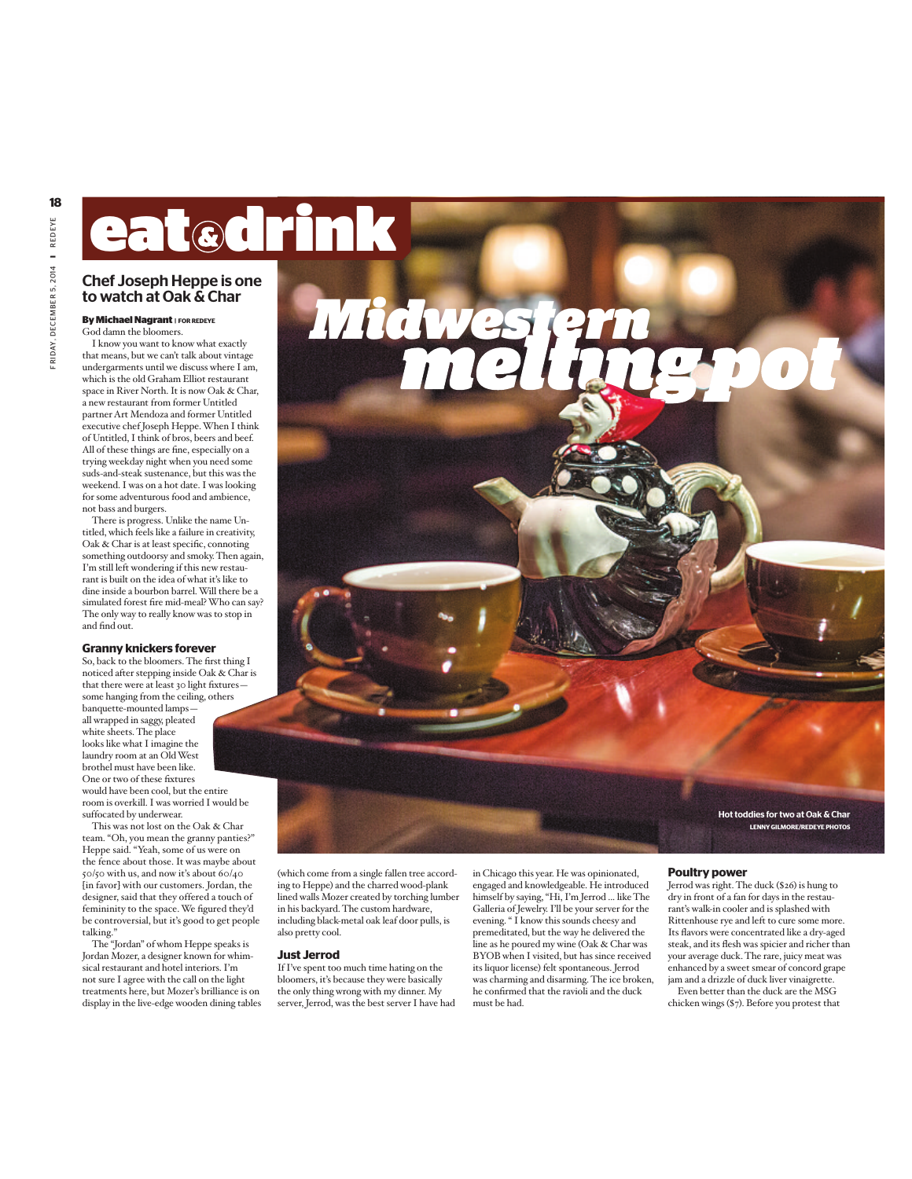# eat drink

# Chef Joseph Heppe is one to watch at Oak & Char

# **ByMichaelNagrant <sup>|</sup> FOR REDEYE**

I know you want to know what exactly that means, but we can't talk about vintage undergarments until we discuss where I am, which is the old Graham Elliot restaurant space in River North. It is now Oak & Char, a new restaurant from former Untitled partner Art Mendoza and former Untitled executive chef Joseph Heppe.When I think of Untitled, I think of bros, beers and beef. All of these things are fine, especially on a trying weekday night when you need some suds-and-steak sustenance, but this was the weekend. I was on a hot date. I was looking for some adventurous food and ambience, not bass and burgers.

There is progress. Unlike the name Untitled, which feels like a failure in creativity, Oak & Char is at least specific, connoting something outdoorsy and smoky. Then again, I'm still left wondering if this new restaurant is built on the idea of what it's like to dine inside a bourbon barrel.Will there be a simulated forest fire mid-meal?Who can say? The only way to really know was to stop in and find out.

### **Granny knickers forever**

So, back to the bloomers.The first thing I noticed after stepping inside Oak & Char is that there were at least 30 light fixtures some hanging from the ceiling, others banquette-mounted lamps all wrapped in saggy, pleated white sheets. The place looks like what I imagine the laundry room at an OldWest brothel must have been like. One or two of these fixtures would have been cool, but the entire room is overkill. I was worried I would be suffocated by underwear.

This was not lost on the Oak & Char team. "Oh, you mean the granny panties?" Heppe said. "Yeah, some of us were on the fence about those. It was maybe about 50/50 with us, and now it's about  $60/40\,$ [in favor] with our customers. Jordan, the designer, said that they offered a touch of femininity to the space.We figured they'd be controversial, but it's good to get people talking."

The "Jordan" of whom Heppe speaks is Jordan Mozer, a designer known for whimsical restaurant and hotel interiors. I'm not sure I agree with the call on the light treatments here, but Mozer's brilliance is on display in the live-edge wooden dining tables (which come from a single fallen tree according to Heppe) and the charred wood-plank lined walls Mozer created by torching lumber in his backyard. The custom hardware, including black-metal oak leaf door pulls, is also pretty cool.

*Midwestern*

#### **Just Jerrod**

If I've spent too much time hating on the bloomers, it's because they were basically the only thing wrong with my dinner. My server, Jerrod, was the best server I have had

in Chicago this year. He was opinionated, engaged and knowledgeable. He introduced himself by saying,"Hi, I'm Jerrod ... like The Galleria of Jewelry. I'll be your server for the evening." I know this sounds cheesy and premeditated, but the way he delivered the line as he poured my wine (Oak & Char was BYOB when I visited, but has since received its liquor license) felt spontaneous. Jerrod was charming and disarming. The ice broken, he confirmed that the ravioli and the duck must be had.

## **Poultry power**

Jerrod was right. The duck (\$26) is hung to dry in front of a fan for days in the restaurant's walk-in cooler and is splashed with Rittenhouse rye and left to cure some more. Its flavors were concentrated like a dry-aged steak, and its flesh was spicier and richer than your average duck. The rare, juicy meat was enhanced by a sweet smear of concord grape jam and a drizzle of duck liver vinaigrette. Even better than the duck are the MSG

chicken wings (\$7). Before you protest that

Hot toddies for two at Oak & Char **LENNYGILMORE/REDEYE PHOTOS**

God damn the bloomers.



**18**